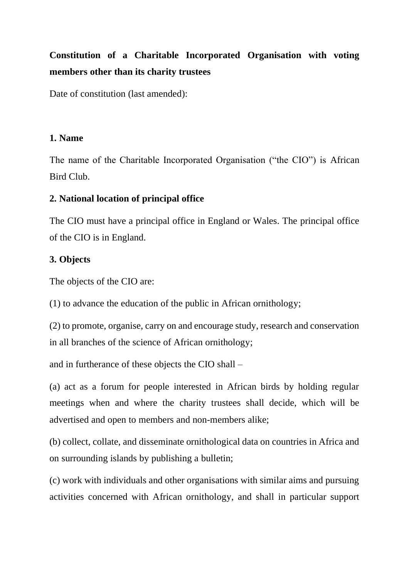# **Constitution of a Charitable Incorporated Organisation with voting members other than its charity trustees**

Date of constitution (last amended):

# **1. Name**

The name of the Charitable Incorporated Organisation ("the CIO") is African Bird Club.

# **2. National location of principal office**

The CIO must have a principal office in England or Wales. The principal office of the CIO is in England.

# **3. Objects**

The objects of the CIO are:

(1) to advance the education of the public in African ornithology;

(2) to promote, organise, carry on and encourage study, research and conservation in all branches of the science of African ornithology;

and in furtherance of these objects the CIO shall –

(a) act as a forum for people interested in African birds by holding regular meetings when and where the charity trustees shall decide, which will be advertised and open to members and non-members alike;

(b) collect, collate, and disseminate ornithological data on countries in Africa and on surrounding islands by publishing a bulletin;

(c) work with individuals and other organisations with similar aims and pursuing activities concerned with African ornithology, and shall in particular support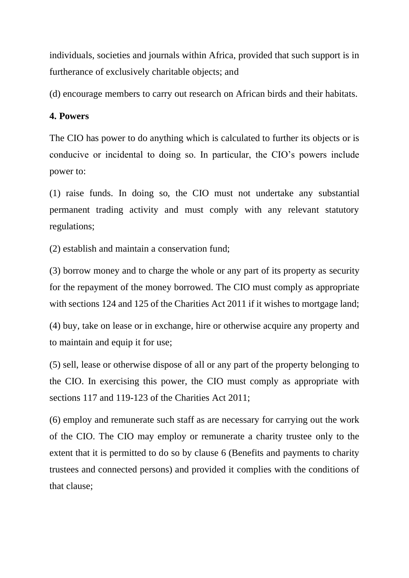individuals, societies and journals within Africa, provided that such support is in furtherance of exclusively charitable objects; and

(d) encourage members to carry out research on African birds and their habitats.

# **4. Powers**

The CIO has power to do anything which is calculated to further its objects or is conducive or incidental to doing so. In particular, the CIO's powers include power to:

(1) raise funds. In doing so, the CIO must not undertake any substantial permanent trading activity and must comply with any relevant statutory regulations;

(2) establish and maintain a conservation fund;

(3) borrow money and to charge the whole or any part of its property as security for the repayment of the money borrowed. The CIO must comply as appropriate with sections 124 and 125 of the Charities Act 2011 if it wishes to mortgage land;

(4) buy, take on lease or in exchange, hire or otherwise acquire any property and to maintain and equip it for use;

(5) sell, lease or otherwise dispose of all or any part of the property belonging to the CIO. In exercising this power, the CIO must comply as appropriate with sections 117 and 119-123 of the Charities Act 2011;

(6) employ and remunerate such staff as are necessary for carrying out the work of the CIO. The CIO may employ or remunerate a charity trustee only to the extent that it is permitted to do so by clause 6 (Benefits and payments to charity trustees and connected persons) and provided it complies with the conditions of that clause;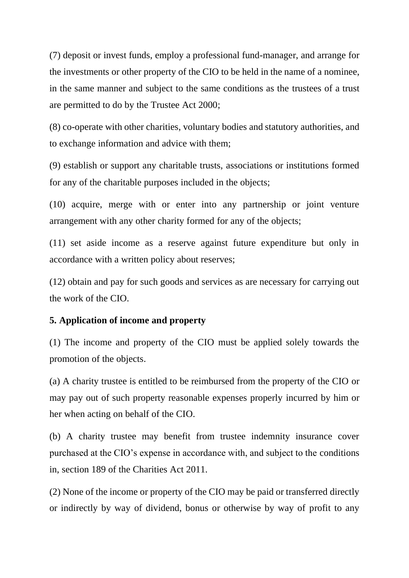(7) deposit or invest funds, employ a professional fund-manager, and arrange for the investments or other property of the CIO to be held in the name of a nominee, in the same manner and subject to the same conditions as the trustees of a trust are permitted to do by the Trustee Act 2000;

(8) co-operate with other charities, voluntary bodies and statutory authorities, and to exchange information and advice with them;

(9) establish or support any charitable trusts, associations or institutions formed for any of the charitable purposes included in the objects;

(10) acquire, merge with or enter into any partnership or joint venture arrangement with any other charity formed for any of the objects;

(11) set aside income as a reserve against future expenditure but only in accordance with a written policy about reserves;

(12) obtain and pay for such goods and services as are necessary for carrying out the work of the CIO.

#### **5. Application of income and property**

(1) The income and property of the CIO must be applied solely towards the promotion of the objects.

(a) A charity trustee is entitled to be reimbursed from the property of the CIO or may pay out of such property reasonable expenses properly incurred by him or her when acting on behalf of the CIO.

(b) A charity trustee may benefit from trustee indemnity insurance cover purchased at the CIO's expense in accordance with, and subject to the conditions in, section 189 of the Charities Act 2011.

(2) None of the income or property of the CIO may be paid or transferred directly or indirectly by way of dividend, bonus or otherwise by way of profit to any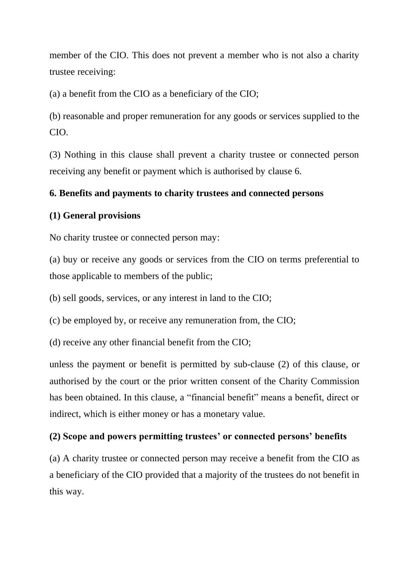member of the CIO. This does not prevent a member who is not also a charity trustee receiving:

(a) a benefit from the CIO as a beneficiary of the CIO;

(b) reasonable and proper remuneration for any goods or services supplied to the CIO.

(3) Nothing in this clause shall prevent a charity trustee or connected person receiving any benefit or payment which is authorised by clause 6.

#### **6. Benefits and payments to charity trustees and connected persons**

#### **(1) General provisions**

No charity trustee or connected person may:

(a) buy or receive any goods or services from the CIO on terms preferential to those applicable to members of the public;

(b) sell goods, services, or any interest in land to the CIO;

(c) be employed by, or receive any remuneration from, the CIO;

(d) receive any other financial benefit from the CIO;

unless the payment or benefit is permitted by sub-clause (2) of this clause, or authorised by the court or the prior written consent of the Charity Commission has been obtained. In this clause, a "financial benefit" means a benefit, direct or indirect, which is either money or has a monetary value.

#### **(2) Scope and powers permitting trustees' or connected persons' benefits**

(a) A charity trustee or connected person may receive a benefit from the CIO as a beneficiary of the CIO provided that a majority of the trustees do not benefit in this way.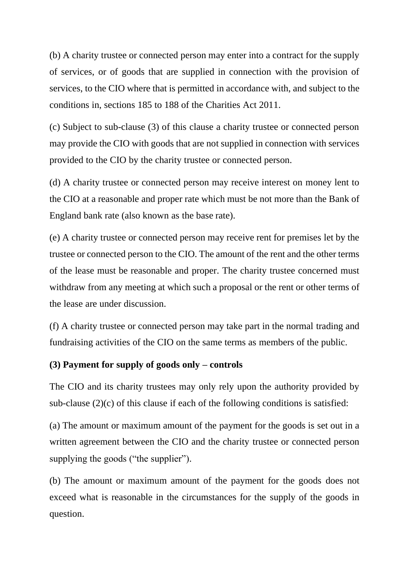(b) A charity trustee or connected person may enter into a contract for the supply of services, or of goods that are supplied in connection with the provision of services, to the CIO where that is permitted in accordance with, and subject to the conditions in, sections 185 to 188 of the Charities Act 2011.

(c) Subject to sub-clause (3) of this clause a charity trustee or connected person may provide the CIO with goods that are not supplied in connection with services provided to the CIO by the charity trustee or connected person.

(d) A charity trustee or connected person may receive interest on money lent to the CIO at a reasonable and proper rate which must be not more than the Bank of England bank rate (also known as the base rate).

(e) A charity trustee or connected person may receive rent for premises let by the trustee or connected person to the CIO. The amount of the rent and the other terms of the lease must be reasonable and proper. The charity trustee concerned must withdraw from any meeting at which such a proposal or the rent or other terms of the lease are under discussion.

(f) A charity trustee or connected person may take part in the normal trading and fundraising activities of the CIO on the same terms as members of the public.

#### **(3) Payment for supply of goods only – controls**

The CIO and its charity trustees may only rely upon the authority provided by sub-clause  $(2)(c)$  of this clause if each of the following conditions is satisfied:

(a) The amount or maximum amount of the payment for the goods is set out in a written agreement between the CIO and the charity trustee or connected person supplying the goods ("the supplier").

(b) The amount or maximum amount of the payment for the goods does not exceed what is reasonable in the circumstances for the supply of the goods in question.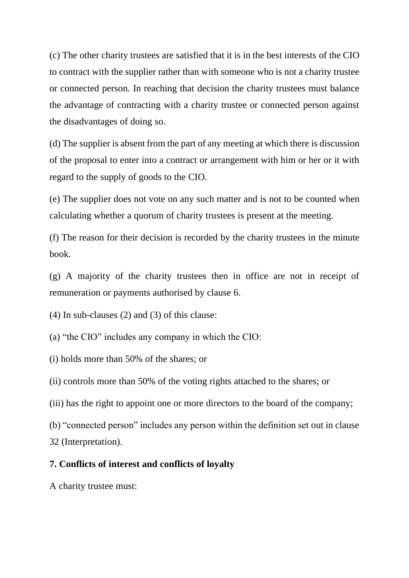(c) The other charity trustees are satisfied that it is in the best interests of the CIO to contract with the supplier rather than with someone who is not a charity trustee or connected person. In reaching that decision the charity trustees must balance the advantage of contracting with a charity trustee or connected person against the disadvantages of doing so.

(d) The supplier is absent from the part of any meeting at which there is discussion of the proposal to enter into a contract or arrangement with him or her or it with regard to the supply of goods to the CIO.

(e) The supplier does not vote on any such matter and is not to be counted when calculating whether a quorum of charity trustees is present at the meeting.

(f) The reason for their decision is recorded by the charity trustees in the minute book.

(g) A majority of the charity trustees then in office are not in receipt of remuneration or payments authorised by clause 6.

(4) In sub-clauses (2) and (3) of this clause:

(a) "the CIO" includes any company in which the CIO:

(i) holds more than 50% of the shares; or

(ii) controls more than 50% of the voting rights attached to the shares; or

(iii) has the right to appoint one or more directors to the board of the company;

(b) "connected person" includes any person within the definition set out in clause 32 (Interpretation).

#### **7. Conflicts of interest and conflicts of loyalty**

A charity trustee must: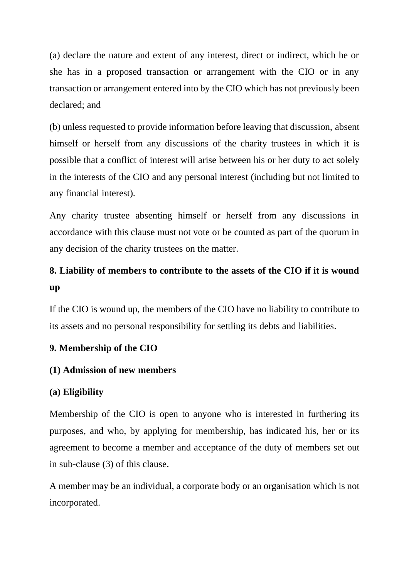(a) declare the nature and extent of any interest, direct or indirect, which he or she has in a proposed transaction or arrangement with the CIO or in any transaction or arrangement entered into by the CIO which has not previously been declared; and

(b) unless requested to provide information before leaving that discussion, absent himself or herself from any discussions of the charity trustees in which it is possible that a conflict of interest will arise between his or her duty to act solely in the interests of the CIO and any personal interest (including but not limited to any financial interest).

Any charity trustee absenting himself or herself from any discussions in accordance with this clause must not vote or be counted as part of the quorum in any decision of the charity trustees on the matter.

# **8. Liability of members to contribute to the assets of the CIO if it is wound up**

If the CIO is wound up, the members of the CIO have no liability to contribute to its assets and no personal responsibility for settling its debts and liabilities.

#### **9. Membership of the CIO**

#### **(1) Admission of new members**

#### **(a) Eligibility**

Membership of the CIO is open to anyone who is interested in furthering its purposes, and who, by applying for membership, has indicated his, her or its agreement to become a member and acceptance of the duty of members set out in sub-clause (3) of this clause.

A member may be an individual, a corporate body or an organisation which is not incorporated.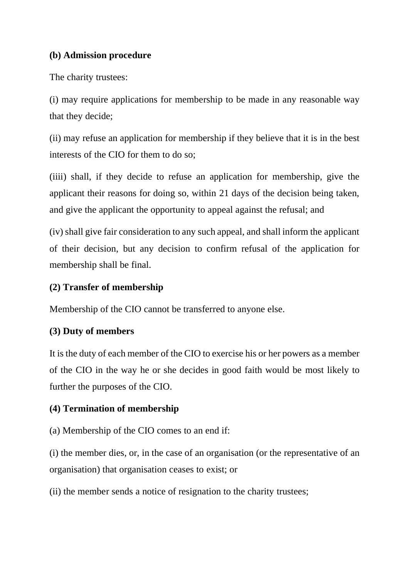# **(b) Admission procedure**

The charity trustees:

(i) may require applications for membership to be made in any reasonable way that they decide;

(ii) may refuse an application for membership if they believe that it is in the best interests of the CIO for them to do so;

(iiii) shall, if they decide to refuse an application for membership, give the applicant their reasons for doing so, within 21 days of the decision being taken, and give the applicant the opportunity to appeal against the refusal; and

(iv) shall give fair consideration to any such appeal, and shall inform the applicant of their decision, but any decision to confirm refusal of the application for membership shall be final.

# **(2) Transfer of membership**

Membership of the CIO cannot be transferred to anyone else.

# **(3) Duty of members**

It is the duty of each member of the CIO to exercise his or her powers as a member of the CIO in the way he or she decides in good faith would be most likely to further the purposes of the CIO.

# **(4) Termination of membership**

(a) Membership of the CIO comes to an end if:

(i) the member dies, or, in the case of an organisation (or the representative of an organisation) that organisation ceases to exist; or

(ii) the member sends a notice of resignation to the charity trustees;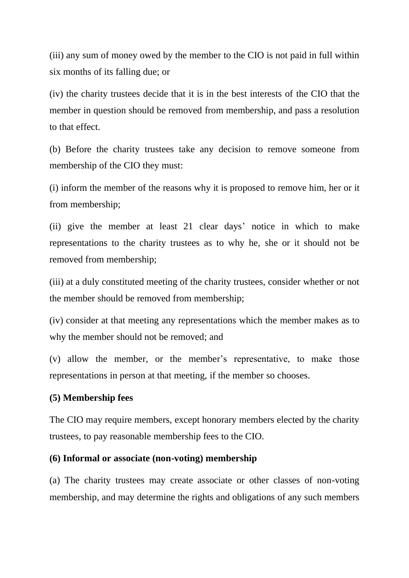(iii) any sum of money owed by the member to the CIO is not paid in full within six months of its falling due; or

(iv) the charity trustees decide that it is in the best interests of the CIO that the member in question should be removed from membership, and pass a resolution to that effect.

(b) Before the charity trustees take any decision to remove someone from membership of the CIO they must:

(i) inform the member of the reasons why it is proposed to remove him, her or it from membership;

(ii) give the member at least 21 clear days' notice in which to make representations to the charity trustees as to why he, she or it should not be removed from membership;

(iii) at a duly constituted meeting of the charity trustees, consider whether or not the member should be removed from membership;

(iv) consider at that meeting any representations which the member makes as to why the member should not be removed; and

(v) allow the member, or the member's representative, to make those representations in person at that meeting, if the member so chooses.

#### **(5) Membership fees**

The CIO may require members, except honorary members elected by the charity trustees, to pay reasonable membership fees to the CIO.

#### **(6) Informal or associate (non-voting) membership**

(a) The charity trustees may create associate or other classes of non-voting membership, and may determine the rights and obligations of any such members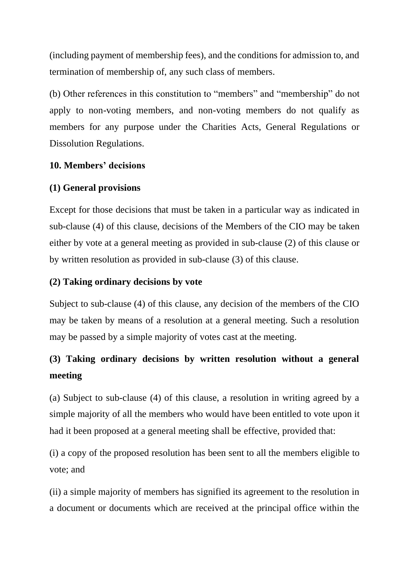(including payment of membership fees), and the conditions for admission to, and termination of membership of, any such class of members.

(b) Other references in this constitution to "members" and "membership" do not apply to non-voting members, and non-voting members do not qualify as members for any purpose under the Charities Acts, General Regulations or Dissolution Regulations.

### **10. Members' decisions**

### **(1) General provisions**

Except for those decisions that must be taken in a particular way as indicated in sub-clause (4) of this clause, decisions of the Members of the CIO may be taken either by vote at a general meeting as provided in sub-clause (2) of this clause or by written resolution as provided in sub-clause (3) of this clause.

### **(2) Taking ordinary decisions by vote**

Subject to sub-clause (4) of this clause, any decision of the members of the CIO may be taken by means of a resolution at a general meeting. Such a resolution may be passed by a simple majority of votes cast at the meeting.

# **(3) Taking ordinary decisions by written resolution without a general meeting**

(a) Subject to sub-clause (4) of this clause, a resolution in writing agreed by a simple majority of all the members who would have been entitled to vote upon it had it been proposed at a general meeting shall be effective, provided that:

(i) a copy of the proposed resolution has been sent to all the members eligible to vote; and

(ii) a simple majority of members has signified its agreement to the resolution in a document or documents which are received at the principal office within the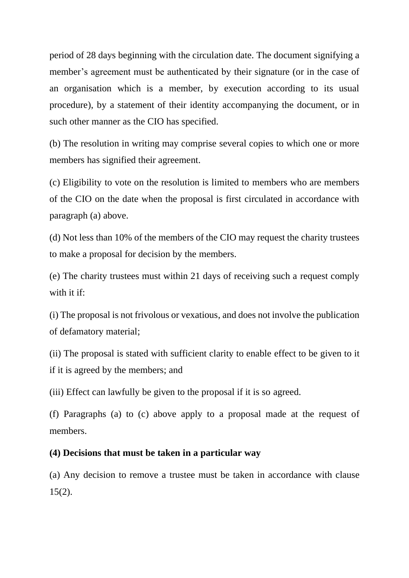period of 28 days beginning with the circulation date. The document signifying a member's agreement must be authenticated by their signature (or in the case of an organisation which is a member, by execution according to its usual procedure), by a statement of their identity accompanying the document, or in such other manner as the CIO has specified.

(b) The resolution in writing may comprise several copies to which one or more members has signified their agreement.

(c) Eligibility to vote on the resolution is limited to members who are members of the CIO on the date when the proposal is first circulated in accordance with paragraph (a) above.

(d) Not less than 10% of the members of the CIO may request the charity trustees to make a proposal for decision by the members.

(e) The charity trustees must within 21 days of receiving such a request comply with it if:

(i) The proposal is not frivolous or vexatious, and does not involve the publication of defamatory material;

(ii) The proposal is stated with sufficient clarity to enable effect to be given to it if it is agreed by the members; and

(iii) Effect can lawfully be given to the proposal if it is so agreed.

(f) Paragraphs (a) to (c) above apply to a proposal made at the request of members.

#### **(4) Decisions that must be taken in a particular way**

(a) Any decision to remove a trustee must be taken in accordance with clause 15(2).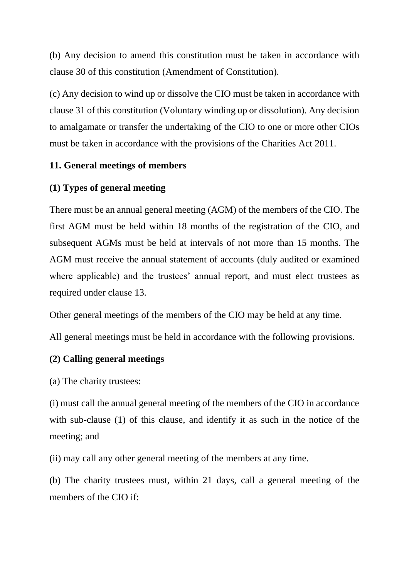(b) Any decision to amend this constitution must be taken in accordance with clause 30 of this constitution (Amendment of Constitution).

(c) Any decision to wind up or dissolve the CIO must be taken in accordance with clause 31 of this constitution (Voluntary winding up or dissolution). Any decision to amalgamate or transfer the undertaking of the CIO to one or more other CIOs must be taken in accordance with the provisions of the Charities Act 2011.

#### **11. General meetings of members**

#### **(1) Types of general meeting**

There must be an annual general meeting (AGM) of the members of the CIO. The first AGM must be held within 18 months of the registration of the CIO, and subsequent AGMs must be held at intervals of not more than 15 months. The AGM must receive the annual statement of accounts (duly audited or examined where applicable) and the trustees' annual report, and must elect trustees as required under clause 13.

Other general meetings of the members of the CIO may be held at any time.

All general meetings must be held in accordance with the following provisions.

#### **(2) Calling general meetings**

(a) The charity trustees:

(i) must call the annual general meeting of the members of the CIO in accordance with sub-clause (1) of this clause, and identify it as such in the notice of the meeting; and

(ii) may call any other general meeting of the members at any time.

(b) The charity trustees must, within 21 days, call a general meeting of the members of the CIO if: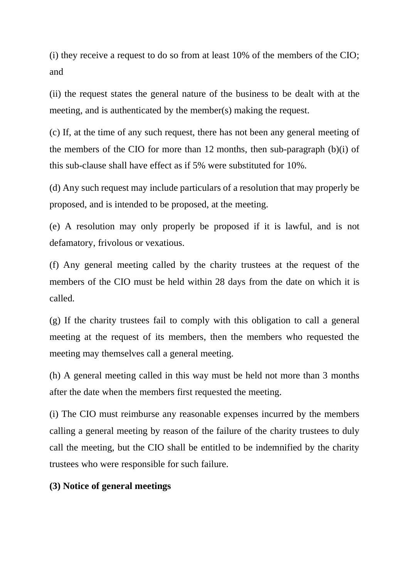(i) they receive a request to do so from at least 10% of the members of the CIO; and

(ii) the request states the general nature of the business to be dealt with at the meeting, and is authenticated by the member(s) making the request.

(c) If, at the time of any such request, there has not been any general meeting of the members of the CIO for more than 12 months, then sub-paragraph (b)(i) of this sub-clause shall have effect as if 5% were substituted for 10%.

(d) Any such request may include particulars of a resolution that may properly be proposed, and is intended to be proposed, at the meeting.

(e) A resolution may only properly be proposed if it is lawful, and is not defamatory, frivolous or vexatious.

(f) Any general meeting called by the charity trustees at the request of the members of the CIO must be held within 28 days from the date on which it is called.

(g) If the charity trustees fail to comply with this obligation to call a general meeting at the request of its members, then the members who requested the meeting may themselves call a general meeting.

(h) A general meeting called in this way must be held not more than 3 months after the date when the members first requested the meeting.

(i) The CIO must reimburse any reasonable expenses incurred by the members calling a general meeting by reason of the failure of the charity trustees to duly call the meeting, but the CIO shall be entitled to be indemnified by the charity trustees who were responsible for such failure.

#### **(3) Notice of general meetings**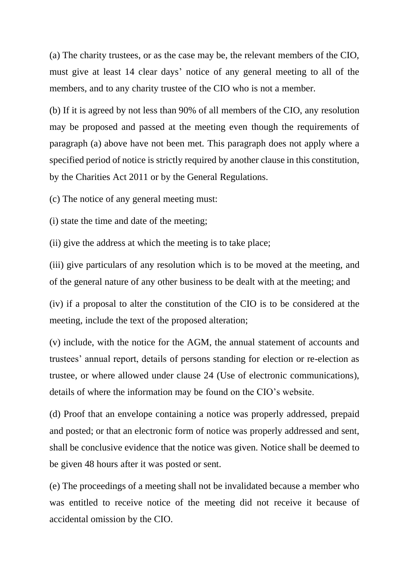(a) The charity trustees, or as the case may be, the relevant members of the CIO, must give at least 14 clear days' notice of any general meeting to all of the members, and to any charity trustee of the CIO who is not a member.

(b) If it is agreed by not less than 90% of all members of the CIO, any resolution may be proposed and passed at the meeting even though the requirements of paragraph (a) above have not been met. This paragraph does not apply where a specified period of notice is strictly required by another clause in this constitution, by the Charities Act 2011 or by the General Regulations.

(c) The notice of any general meeting must:

(i) state the time and date of the meeting;

(ii) give the address at which the meeting is to take place;

(iii) give particulars of any resolution which is to be moved at the meeting, and of the general nature of any other business to be dealt with at the meeting; and

(iv) if a proposal to alter the constitution of the CIO is to be considered at the meeting, include the text of the proposed alteration;

(v) include, with the notice for the AGM, the annual statement of accounts and trustees' annual report, details of persons standing for election or re-election as trustee, or where allowed under clause 24 (Use of electronic communications), details of where the information may be found on the CIO's website.

(d) Proof that an envelope containing a notice was properly addressed, prepaid and posted; or that an electronic form of notice was properly addressed and sent, shall be conclusive evidence that the notice was given. Notice shall be deemed to be given 48 hours after it was posted or sent.

(e) The proceedings of a meeting shall not be invalidated because a member who was entitled to receive notice of the meeting did not receive it because of accidental omission by the CIO.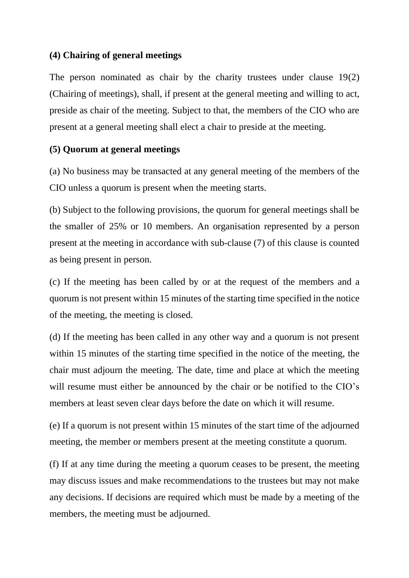#### **(4) Chairing of general meetings**

The person nominated as chair by the charity trustees under clause 19(2) (Chairing of meetings), shall, if present at the general meeting and willing to act, preside as chair of the meeting. Subject to that, the members of the CIO who are present at a general meeting shall elect a chair to preside at the meeting.

### **(5) Quorum at general meetings**

(a) No business may be transacted at any general meeting of the members of the CIO unless a quorum is present when the meeting starts.

(b) Subject to the following provisions, the quorum for general meetings shall be the smaller of 25% or 10 members. An organisation represented by a person present at the meeting in accordance with sub-clause (7) of this clause is counted as being present in person.

(c) If the meeting has been called by or at the request of the members and a quorum is not present within 15 minutes of the starting time specified in the notice of the meeting, the meeting is closed.

(d) If the meeting has been called in any other way and a quorum is not present within 15 minutes of the starting time specified in the notice of the meeting, the chair must adjourn the meeting. The date, time and place at which the meeting will resume must either be announced by the chair or be notified to the CIO's members at least seven clear days before the date on which it will resume.

(e) If a quorum is not present within 15 minutes of the start time of the adjourned meeting, the member or members present at the meeting constitute a quorum.

(f) If at any time during the meeting a quorum ceases to be present, the meeting may discuss issues and make recommendations to the trustees but may not make any decisions. If decisions are required which must be made by a meeting of the members, the meeting must be adjourned.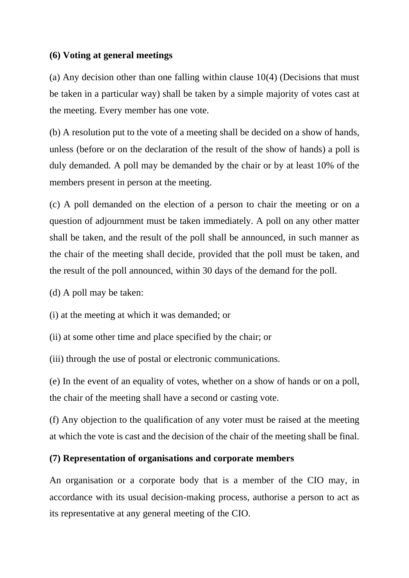#### **(6) Voting at general meetings**

(a) Any decision other than one falling within clause 10(4) (Decisions that must be taken in a particular way) shall be taken by a simple majority of votes cast at the meeting. Every member has one vote.

(b) A resolution put to the vote of a meeting shall be decided on a show of hands, unless (before or on the declaration of the result of the show of hands) a poll is duly demanded. A poll may be demanded by the chair or by at least 10% of the members present in person at the meeting.

(c) A poll demanded on the election of a person to chair the meeting or on a question of adjournment must be taken immediately. A poll on any other matter shall be taken, and the result of the poll shall be announced, in such manner as the chair of the meeting shall decide, provided that the poll must be taken, and the result of the poll announced, within 30 days of the demand for the poll.

(d) A poll may be taken:

(i) at the meeting at which it was demanded; or

(ii) at some other time and place specified by the chair; or

(iii) through the use of postal or electronic communications.

(e) In the event of an equality of votes, whether on a show of hands or on a poll, the chair of the meeting shall have a second or casting vote.

(f) Any objection to the qualification of any voter must be raised at the meeting at which the vote is cast and the decision of the chair of the meeting shall be final.

#### **(7) Representation of organisations and corporate members**

An organisation or a corporate body that is a member of the CIO may, in accordance with its usual decision-making process, authorise a person to act as its representative at any general meeting of the CIO.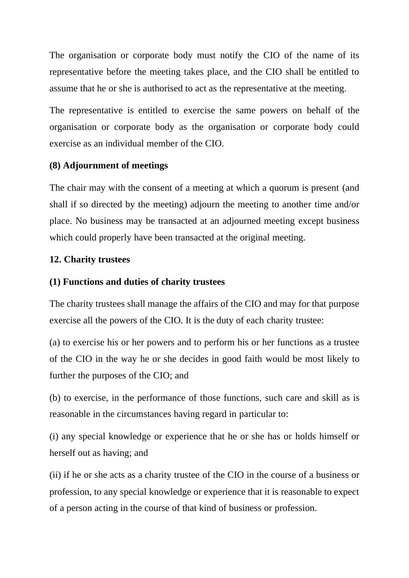The organisation or corporate body must notify the CIO of the name of its representative before the meeting takes place, and the CIO shall be entitled to assume that he or she is authorised to act as the representative at the meeting.

The representative is entitled to exercise the same powers on behalf of the organisation or corporate body as the organisation or corporate body could exercise as an individual member of the CIO.

# **(8) Adjournment of meetings**

The chair may with the consent of a meeting at which a quorum is present (and shall if so directed by the meeting) adjourn the meeting to another time and/or place. No business may be transacted at an adjourned meeting except business which could properly have been transacted at the original meeting.

### **12. Charity trustees**

### **(1) Functions and duties of charity trustees**

The charity trustees shall manage the affairs of the CIO and may for that purpose exercise all the powers of the CIO. It is the duty of each charity trustee:

(a) to exercise his or her powers and to perform his or her functions as a trustee of the CIO in the way he or she decides in good faith would be most likely to further the purposes of the CIO; and

(b) to exercise, in the performance of those functions, such care and skill as is reasonable in the circumstances having regard in particular to:

(i) any special knowledge or experience that he or she has or holds himself or herself out as having; and

(ii) if he or she acts as a charity trustee of the CIO in the course of a business or profession, to any special knowledge or experience that it is reasonable to expect of a person acting in the course of that kind of business or profession.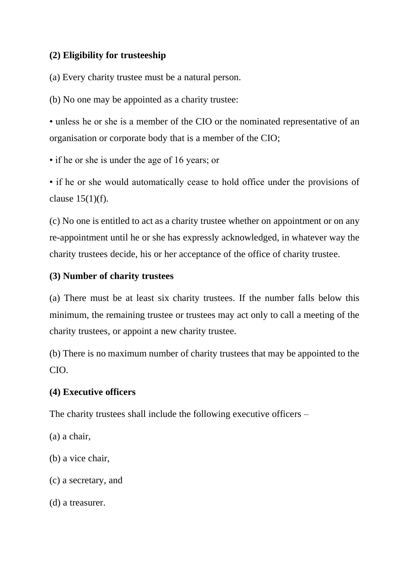# **(2) Eligibility for trusteeship**

(a) Every charity trustee must be a natural person.

(b) No one may be appointed as a charity trustee:

• unless he or she is a member of the CIO or the nominated representative of an organisation or corporate body that is a member of the CIO;

• if he or she is under the age of 16 years; or

• if he or she would automatically cease to hold office under the provisions of clause 15(1)(f).

(c) No one is entitled to act as a charity trustee whether on appointment or on any re-appointment until he or she has expressly acknowledged, in whatever way the charity trustees decide, his or her acceptance of the office of charity trustee.

# **(3) Number of charity trustees**

(a) There must be at least six charity trustees. If the number falls below this minimum, the remaining trustee or trustees may act only to call a meeting of the charity trustees, or appoint a new charity trustee.

(b) There is no maximum number of charity trustees that may be appointed to the CIO.

# **(4) Executive officers**

The charity trustees shall include the following executive officers –

(a) a chair,

(b) a vice chair,

(c) a secretary, and

(d) a treasurer.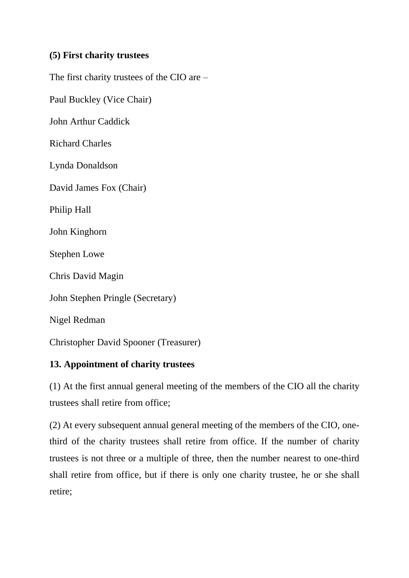# **(5) First charity trustees**

The first charity trustees of the CIO are –

Paul Buckley (Vice Chair)

John Arthur Caddick

Richard Charles

Lynda Donaldson

David James Fox (Chair)

Philip Hall

John Kinghorn

Stephen Lowe

Chris David Magin

John Stephen Pringle (Secretary)

Nigel Redman

Christopher David Spooner (Treasurer)

# **13. Appointment of charity trustees**

(1) At the first annual general meeting of the members of the CIO all the charity trustees shall retire from office;

(2) At every subsequent annual general meeting of the members of the CIO, onethird of the charity trustees shall retire from office. If the number of charity trustees is not three or a multiple of three, then the number nearest to one-third shall retire from office, but if there is only one charity trustee, he or she shall retire;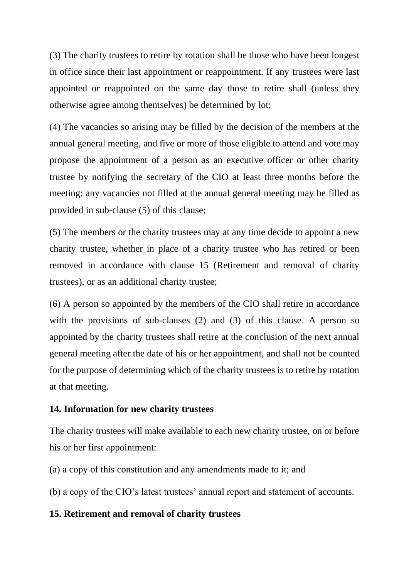(3) The charity trustees to retire by rotation shall be those who have been longest in office since their last appointment or reappointment. If any trustees were last appointed or reappointed on the same day those to retire shall (unless they otherwise agree among themselves) be determined by lot;

(4) The vacancies so arising may be filled by the decision of the members at the annual general meeting, and five or more of those eligible to attend and vote may propose the appointment of a person as an executive officer or other charity trustee by notifying the secretary of the CIO at least three months before the meeting; any vacancies not filled at the annual general meeting may be filled as provided in sub-clause (5) of this clause;

(5) The members or the charity trustees may at any time decide to appoint a new charity trustee, whether in place of a charity trustee who has retired or been removed in accordance with clause 15 (Retirement and removal of charity trustees), or as an additional charity trustee;

(6) A person so appointed by the members of the CIO shall retire in accordance with the provisions of sub-clauses (2) and (3) of this clause. A person so appointed by the charity trustees shall retire at the conclusion of the next annual general meeting after the date of his or her appointment, and shall not be counted for the purpose of determining which of the charity trustees is to retire by rotation at that meeting.

#### **14. Information for new charity trustees**

The charity trustees will make available to each new charity trustee, on or before his or her first appointment:

(a) a copy of this constitution and any amendments made to it; and

(b) a copy of the CIO's latest trustees' annual report and statement of accounts.

#### **15. Retirement and removal of charity trustees**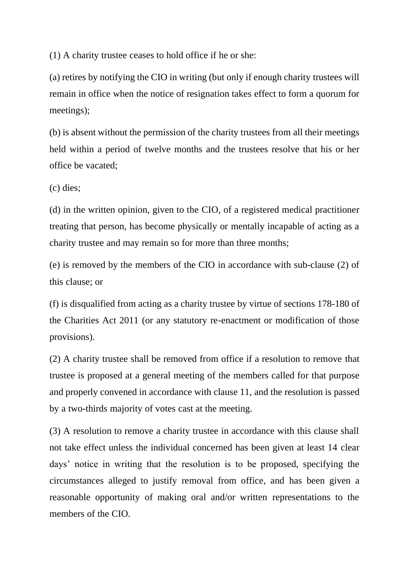(1) A charity trustee ceases to hold office if he or she:

(a) retires by notifying the CIO in writing (but only if enough charity trustees will remain in office when the notice of resignation takes effect to form a quorum for meetings);

(b) is absent without the permission of the charity trustees from all their meetings held within a period of twelve months and the trustees resolve that his or her office be vacated;

(c) dies;

(d) in the written opinion, given to the CIO, of a registered medical practitioner treating that person, has become physically or mentally incapable of acting as a charity trustee and may remain so for more than three months;

(e) is removed by the members of the CIO in accordance with sub-clause (2) of this clause; or

(f) is disqualified from acting as a charity trustee by virtue of sections 178-180 of the Charities Act 2011 (or any statutory re-enactment or modification of those provisions).

(2) A charity trustee shall be removed from office if a resolution to remove that trustee is proposed at a general meeting of the members called for that purpose and properly convened in accordance with clause 11, and the resolution is passed by a two-thirds majority of votes cast at the meeting.

(3) A resolution to remove a charity trustee in accordance with this clause shall not take effect unless the individual concerned has been given at least 14 clear days' notice in writing that the resolution is to be proposed, specifying the circumstances alleged to justify removal from office, and has been given a reasonable opportunity of making oral and/or written representations to the members of the CIO.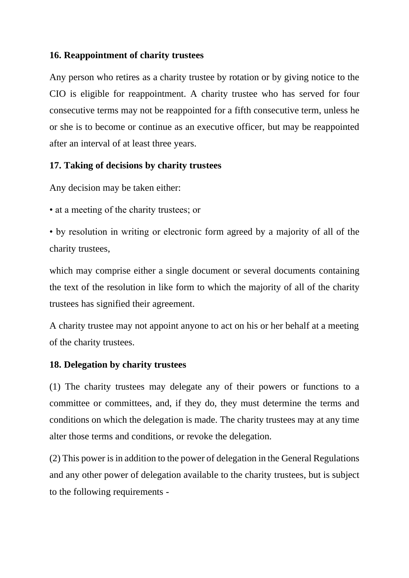### **16. Reappointment of charity trustees**

Any person who retires as a charity trustee by rotation or by giving notice to the CIO is eligible for reappointment. A charity trustee who has served for four consecutive terms may not be reappointed for a fifth consecutive term, unless he or she is to become or continue as an executive officer, but may be reappointed after an interval of at least three years.

# **17. Taking of decisions by charity trustees**

Any decision may be taken either:

• at a meeting of the charity trustees; or

• by resolution in writing or electronic form agreed by a majority of all of the charity trustees,

which may comprise either a single document or several documents containing the text of the resolution in like form to which the majority of all of the charity trustees has signified their agreement.

A charity trustee may not appoint anyone to act on his or her behalf at a meeting of the charity trustees.

#### **18. Delegation by charity trustees**

(1) The charity trustees may delegate any of their powers or functions to a committee or committees, and, if they do, they must determine the terms and conditions on which the delegation is made. The charity trustees may at any time alter those terms and conditions, or revoke the delegation.

(2) This power is in addition to the power of delegation in the General Regulations and any other power of delegation available to the charity trustees, but is subject to the following requirements -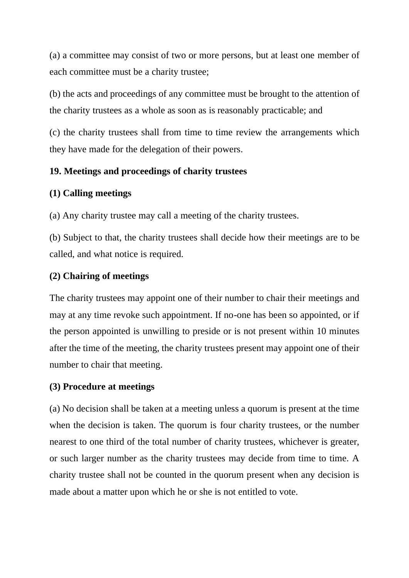(a) a committee may consist of two or more persons, but at least one member of each committee must be a charity trustee;

(b) the acts and proceedings of any committee must be brought to the attention of the charity trustees as a whole as soon as is reasonably practicable; and

(c) the charity trustees shall from time to time review the arrangements which they have made for the delegation of their powers.

# **19. Meetings and proceedings of charity trustees**

# **(1) Calling meetings**

(a) Any charity trustee may call a meeting of the charity trustees.

(b) Subject to that, the charity trustees shall decide how their meetings are to be called, and what notice is required.

# **(2) Chairing of meetings**

The charity trustees may appoint one of their number to chair their meetings and may at any time revoke such appointment. If no-one has been so appointed, or if the person appointed is unwilling to preside or is not present within 10 minutes after the time of the meeting, the charity trustees present may appoint one of their number to chair that meeting.

# **(3) Procedure at meetings**

(a) No decision shall be taken at a meeting unless a quorum is present at the time when the decision is taken. The quorum is four charity trustees, or the number nearest to one third of the total number of charity trustees, whichever is greater, or such larger number as the charity trustees may decide from time to time. A charity trustee shall not be counted in the quorum present when any decision is made about a matter upon which he or she is not entitled to vote.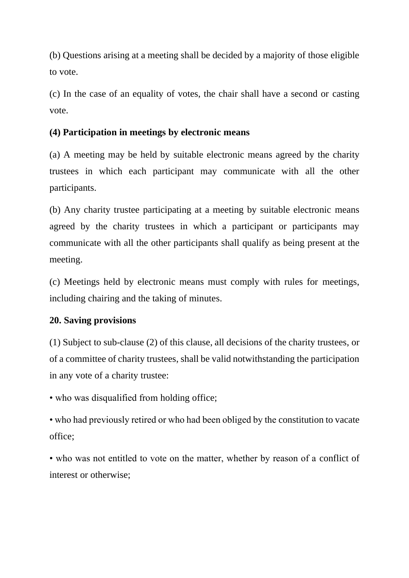(b) Questions arising at a meeting shall be decided by a majority of those eligible to vote.

(c) In the case of an equality of votes, the chair shall have a second or casting vote.

# **(4) Participation in meetings by electronic means**

(a) A meeting may be held by suitable electronic means agreed by the charity trustees in which each participant may communicate with all the other participants.

(b) Any charity trustee participating at a meeting by suitable electronic means agreed by the charity trustees in which a participant or participants may communicate with all the other participants shall qualify as being present at the meeting.

(c) Meetings held by electronic means must comply with rules for meetings, including chairing and the taking of minutes.

# **20. Saving provisions**

(1) Subject to sub-clause (2) of this clause, all decisions of the charity trustees, or of a committee of charity trustees, shall be valid notwithstanding the participation in any vote of a charity trustee:

• who was disqualified from holding office;

• who had previously retired or who had been obliged by the constitution to vacate office;

• who was not entitled to vote on the matter, whether by reason of a conflict of interest or otherwise;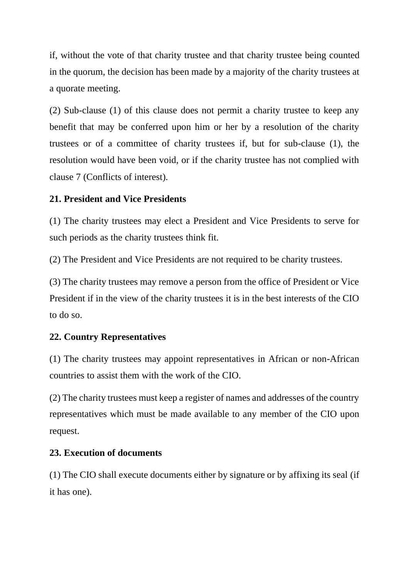if, without the vote of that charity trustee and that charity trustee being counted in the quorum, the decision has been made by a majority of the charity trustees at a quorate meeting.

(2) Sub-clause (1) of this clause does not permit a charity trustee to keep any benefit that may be conferred upon him or her by a resolution of the charity trustees or of a committee of charity trustees if, but for sub-clause (1), the resolution would have been void, or if the charity trustee has not complied with clause 7 (Conflicts of interest).

# **21. President and Vice Presidents**

(1) The charity trustees may elect a President and Vice Presidents to serve for such periods as the charity trustees think fit.

(2) The President and Vice Presidents are not required to be charity trustees.

(3) The charity trustees may remove a person from the office of President or Vice President if in the view of the charity trustees it is in the best interests of the CIO to do so.

# **22. Country Representatives**

(1) The charity trustees may appoint representatives in African or non-African countries to assist them with the work of the CIO.

(2) The charity trustees must keep a register of names and addresses of the country representatives which must be made available to any member of the CIO upon request.

# **23. Execution of documents**

(1) The CIO shall execute documents either by signature or by affixing its seal (if it has one).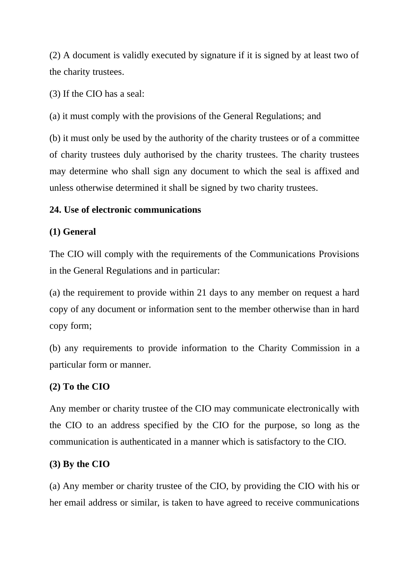(2) A document is validly executed by signature if it is signed by at least two of the charity trustees.

(3) If the CIO has a seal:

(a) it must comply with the provisions of the General Regulations; and

(b) it must only be used by the authority of the charity trustees or of a committee of charity trustees duly authorised by the charity trustees. The charity trustees may determine who shall sign any document to which the seal is affixed and unless otherwise determined it shall be signed by two charity trustees.

# **24. Use of electronic communications**

# **(1) General**

The CIO will comply with the requirements of the Communications Provisions in the General Regulations and in particular:

(a) the requirement to provide within 21 days to any member on request a hard copy of any document or information sent to the member otherwise than in hard copy form;

(b) any requirements to provide information to the Charity Commission in a particular form or manner.

# **(2) To the CIO**

Any member or charity trustee of the CIO may communicate electronically with the CIO to an address specified by the CIO for the purpose, so long as the communication is authenticated in a manner which is satisfactory to the CIO.

# **(3) By the CIO**

(a) Any member or charity trustee of the CIO, by providing the CIO with his or her email address or similar, is taken to have agreed to receive communications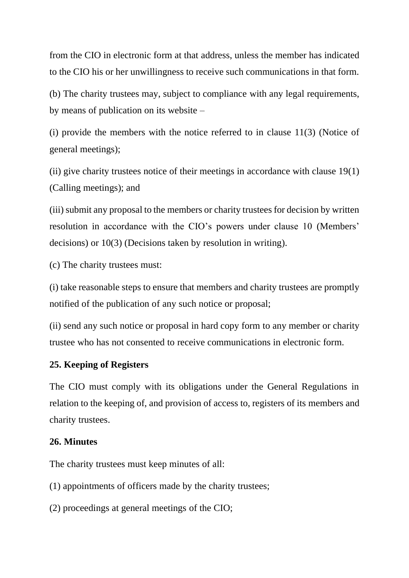from the CIO in electronic form at that address, unless the member has indicated to the CIO his or her unwillingness to receive such communications in that form.

(b) The charity trustees may, subject to compliance with any legal requirements, by means of publication on its website –

(i) provide the members with the notice referred to in clause 11(3) (Notice of general meetings);

(ii) give charity trustees notice of their meetings in accordance with clause 19(1) (Calling meetings); and

(iii) submit any proposal to the members or charity trustees for decision by written resolution in accordance with the CIO's powers under clause 10 (Members' decisions) or 10(3) (Decisions taken by resolution in writing).

(c) The charity trustees must:

(i) take reasonable steps to ensure that members and charity trustees are promptly notified of the publication of any such notice or proposal;

(ii) send any such notice or proposal in hard copy form to any member or charity trustee who has not consented to receive communications in electronic form.

#### **25. Keeping of Registers**

The CIO must comply with its obligations under the General Regulations in relation to the keeping of, and provision of access to, registers of its members and charity trustees.

#### **26. Minutes**

The charity trustees must keep minutes of all:

(1) appointments of officers made by the charity trustees;

(2) proceedings at general meetings of the CIO;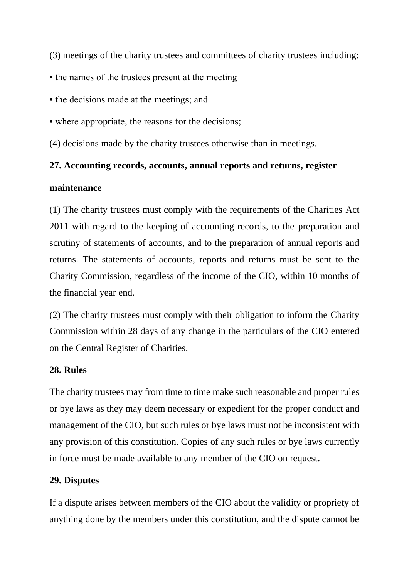(3) meetings of the charity trustees and committees of charity trustees including:

- the names of the trustees present at the meeting
- the decisions made at the meetings; and
- where appropriate, the reasons for the decisions;

(4) decisions made by the charity trustees otherwise than in meetings.

### **27. Accounting records, accounts, annual reports and returns, register**

#### **maintenance**

(1) The charity trustees must comply with the requirements of the Charities Act 2011 with regard to the keeping of accounting records, to the preparation and scrutiny of statements of accounts, and to the preparation of annual reports and returns. The statements of accounts, reports and returns must be sent to the Charity Commission, regardless of the income of the CIO, within 10 months of the financial year end.

(2) The charity trustees must comply with their obligation to inform the Charity Commission within 28 days of any change in the particulars of the CIO entered on the Central Register of Charities.

#### **28. Rules**

The charity trustees may from time to time make such reasonable and proper rules or bye laws as they may deem necessary or expedient for the proper conduct and management of the CIO, but such rules or bye laws must not be inconsistent with any provision of this constitution. Copies of any such rules or bye laws currently in force must be made available to any member of the CIO on request.

# **29. Disputes**

If a dispute arises between members of the CIO about the validity or propriety of anything done by the members under this constitution, and the dispute cannot be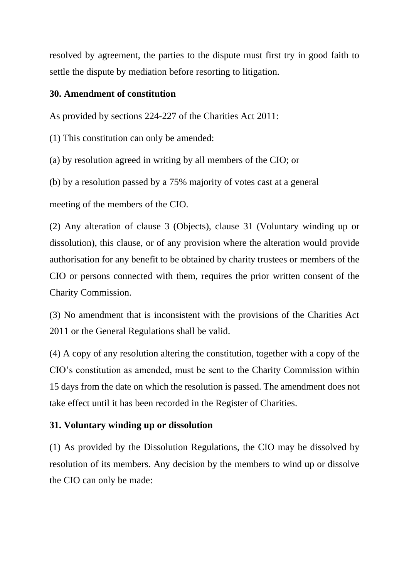resolved by agreement, the parties to the dispute must first try in good faith to settle the dispute by mediation before resorting to litigation.

### **30. Amendment of constitution**

As provided by sections 224-227 of the Charities Act 2011:

(1) This constitution can only be amended:

(a) by resolution agreed in writing by all members of the CIO; or

(b) by a resolution passed by a 75% majority of votes cast at a general

meeting of the members of the CIO.

(2) Any alteration of clause 3 (Objects), clause 31 (Voluntary winding up or dissolution), this clause, or of any provision where the alteration would provide authorisation for any benefit to be obtained by charity trustees or members of the CIO or persons connected with them, requires the prior written consent of the Charity Commission.

(3) No amendment that is inconsistent with the provisions of the Charities Act 2011 or the General Regulations shall be valid.

(4) A copy of any resolution altering the constitution, together with a copy of the CIO's constitution as amended, must be sent to the Charity Commission within 15 days from the date on which the resolution is passed. The amendment does not take effect until it has been recorded in the Register of Charities.

# **31. Voluntary winding up or dissolution**

(1) As provided by the Dissolution Regulations, the CIO may be dissolved by resolution of its members. Any decision by the members to wind up or dissolve the CIO can only be made: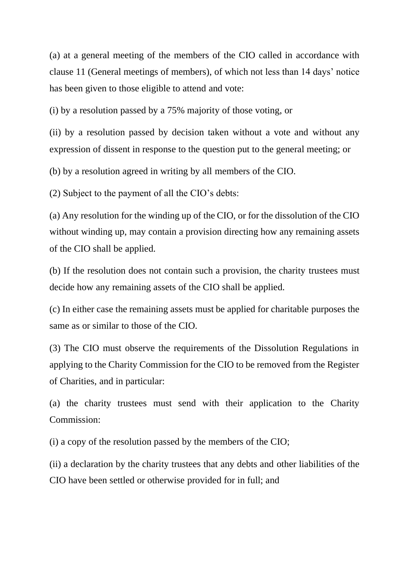(a) at a general meeting of the members of the CIO called in accordance with clause 11 (General meetings of members), of which not less than 14 days' notice has been given to those eligible to attend and vote:

(i) by a resolution passed by a 75% majority of those voting, or

(ii) by a resolution passed by decision taken without a vote and without any expression of dissent in response to the question put to the general meeting; or

(b) by a resolution agreed in writing by all members of the CIO.

(2) Subject to the payment of all the CIO's debts:

(a) Any resolution for the winding up of the CIO, or for the dissolution of the CIO without winding up, may contain a provision directing how any remaining assets of the CIO shall be applied.

(b) If the resolution does not contain such a provision, the charity trustees must decide how any remaining assets of the CIO shall be applied.

(c) In either case the remaining assets must be applied for charitable purposes the same as or similar to those of the CIO.

(3) The CIO must observe the requirements of the Dissolution Regulations in applying to the Charity Commission for the CIO to be removed from the Register of Charities, and in particular:

(a) the charity trustees must send with their application to the Charity Commission:

(i) a copy of the resolution passed by the members of the CIO;

(ii) a declaration by the charity trustees that any debts and other liabilities of the CIO have been settled or otherwise provided for in full; and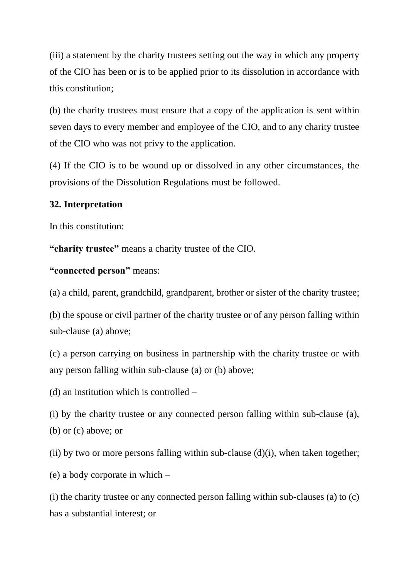(iii) a statement by the charity trustees setting out the way in which any property of the CIO has been or is to be applied prior to its dissolution in accordance with this constitution;

(b) the charity trustees must ensure that a copy of the application is sent within seven days to every member and employee of the CIO, and to any charity trustee of the CIO who was not privy to the application.

(4) If the CIO is to be wound up or dissolved in any other circumstances, the provisions of the Dissolution Regulations must be followed.

#### **32. Interpretation**

In this constitution:

**"charity trustee"** means a charity trustee of the CIO.

# **"connected person"** means:

(a) a child, parent, grandchild, grandparent, brother or sister of the charity trustee;

(b) the spouse or civil partner of the charity trustee or of any person falling within sub-clause (a) above;

(c) a person carrying on business in partnership with the charity trustee or with any person falling within sub-clause (a) or (b) above;

(d) an institution which is controlled –

(i) by the charity trustee or any connected person falling within sub-clause (a), (b) or (c) above; or

(ii) by two or more persons falling within sub-clause  $(d)(i)$ , when taken together;

(e) a body corporate in which –

(i) the charity trustee or any connected person falling within sub-clauses (a) to (c) has a substantial interest; or